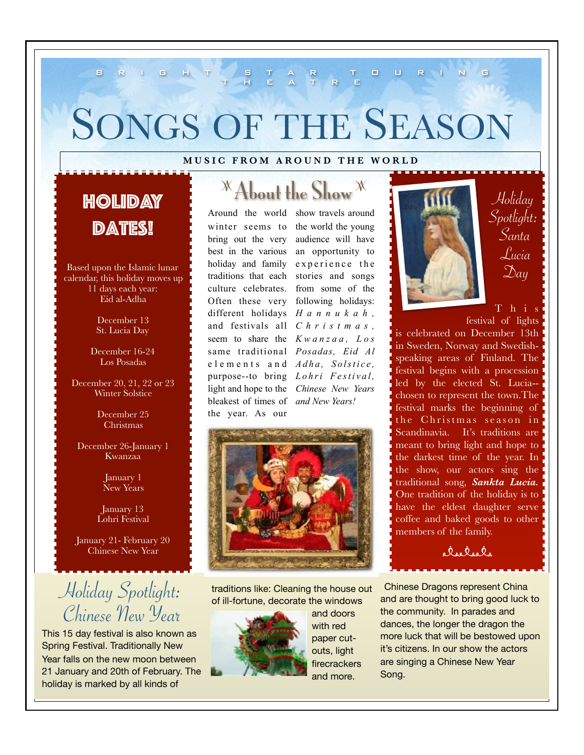# SONGS OF THE SEASON

#### **MUSIC FROM AROUND THE WORLD**

BRIGHT STAR TOURING THEATRE

# Holiday **DATES!**

Based upon the Islamic lunar calendar, this holiday moves up 11 days each year: Eid al-Adha

Type to enter the December 13 St. Lucia Day

> December 16-24 Los Posadas

December 20, 21, 22 or 23 Winter Solstice

> December 25 Christmas

December 26-January 1 Kwanzaa

> January 1 New Years

January 13 Lohri Festival

January 21- February 20 Chinese New Year

Holiday Spotlight: Chinese New Year

This 15 day festival is also known as Spring Festival. Traditionally New Year falls on the new moon between 21 January and 20th of February. The holiday is marked by all kinds of

# **X** About the Show X

winter seems to bring out the very best in the various holiday and family traditions that each culture celebrates. Often these very following holidays: different holidays *H a n n u k a h ,*  and festivals all *C h r i s t m a s ,*  seem to share the *K w a n z a a , L o s*  same traditional *Posadas, Eid Al*  e lements and *Adha*, Solstice, purpose--to bring *Lohri Festival*, light and hope to the *Chinese New Years*  bleakest of times of *and New Years!*  the year. As our

Around the world show travels around the world the young audience will have an opportunity to experience the stories and songs from some of the



traditions like: Cleaning the house out of ill-fortune, decorate the windows



and doors with red paper cutouts, light firecrackers and more.



Holiday Spotlight: Santa Lucia  $\mathfrak{D}$ ay

T h i s

festival of lights is celebrated on December 13th in Sweden, Norway and Swedishspeaking areas of Finland. The festival begins with a procession led by the elected St. Lucia- chosen to represent the town.The festival marks the beginning of the Christmas season in Scandinavia. It's traditions are meant to bring light and hope to the darkest time of the year. In the show, our actors sing the traditional song, *Sankta Lucia.*  One tradition of the holiday is to have the eldest daughter serve coffee and baked goods to other members of the family.

elielele

Chinese Dragons represent China and are thought to bring good luck to the community. In parades and dances, the longer the dragon the more luck that will be bestowed upon it's citizens. In our show the actors are singing a Chinese New Year Song.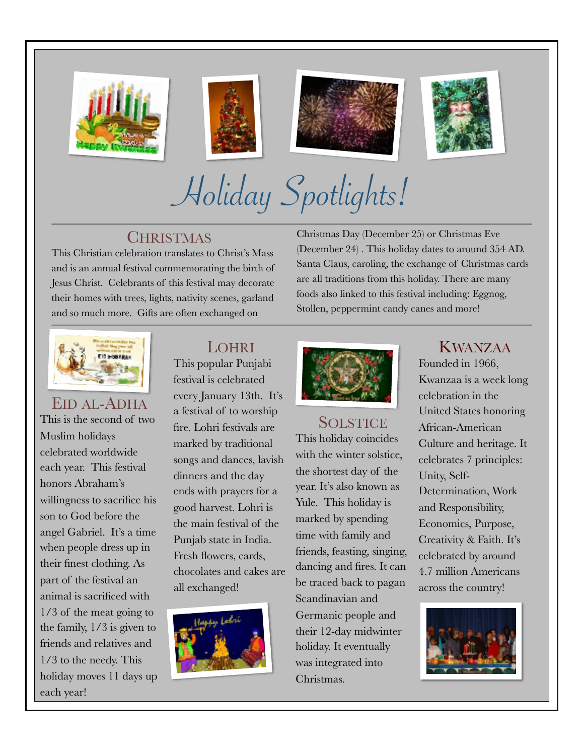







Holiday Spotlights!

### **CHRISTMAS**

This Christian celebration translates to Christ's Mass and is an annual festival commemorating the birth of Jesus Christ. Celebrants of this festival may decorate their homes with trees, lights, nativity scenes, garland and so much more. Gifts are often exchanged on

Christmas Day (December 25) or Christmas Eve (December 24) . This holiday dates to around 354 AD. Santa Claus, caroling, the exchange of Christmas cards are all traditions from this holiday. There are many foods also linked to this festival including: Eggnog, Stollen, peppermint candy canes and more!



### EID AL-ADHA This is the second of two Muslim holidays celebrated worldwide each year. This festival honors Abraham's willingness to sacrifice his son to God before the angel Gabriel. It's a time when people dress up in their finest clothing. As part of the festival an animal is sacrificed with 1/3 of the meat going to the family, 1/3 is given to

friends and relatives and 1/3 to the needy. This holiday moves 11 days up each year!

### LOHRI

This popular Punjabi festival is celebrated every January 13th. It's a festival of to worship fire. Lohri festivals are marked by traditional songs and dances, lavish dinners and the day ends with prayers for a good harvest. Lohri is the main festival of the Punjab state in India. Fresh flowers, cards, chocolates and cakes are all exchanged!





#### SOLSTICE

This holiday coincides with the winter solstice, the shortest day of the year. It's also known as Yule. This holiday is marked by spending time with family and friends, feasting, singing, dancing and fires. It can be traced back to pagan Scandinavian and Germanic people and their 12-day midwinter holiday. It eventually was integrated into Christmas.

### KWANZAA

Founded in 1966, Kwanzaa is a week long celebration in the United States honoring African-American Culture and heritage. It celebrates 7 principles: Unity, Self-Determination, Work and Responsibility, Economics, Purpose, Creativity & Faith. It's celebrated by around 4.7 million Americans across the country!

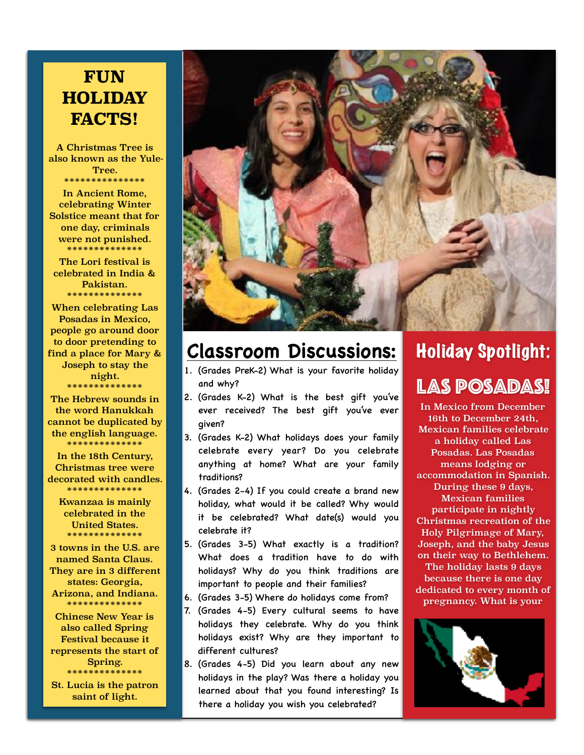## **FUN HOLIDAY FACTS!**

A Christmas Tree is also known as the Yule-Tree. \*\*\*\*\*\*\*\*\*\*\*\*\*\*\*

In Ancient Rome, celebrating Winter Solstice meant that for one day, criminals were not punished. \*\*\*\*\*\*\*\*\*\*\*\*\*\*

The Lori festival is celebrated in India & Pakistan. \*\*\*\*\*\*\*\*\*\*\*\*\*\*

When celebrating Las Posadas in Mexico, people go around door to door pretending to find a place for Mary & Joseph to stay the night. \*\*\*\*\*\*\*\*\*\*\*\*\*

The Hebrew sounds in the word Hanukkah cannot be duplicated by the english language. \*\*\*\*\*\*\*\*\*\*\*\*\*\*

In the 18th Century, Christmas tree were decorated with candles. \*\*\*\*\*\*\*\*\*\*\*\*\*\*

Kwanzaa is mainly celebrated in the United States. \*\*\*\*\*\*\*\*\*\*\*\*\*\*

3 towns in the U.S. are named Santa Claus. They are in 3 different states: Georgia, Arizona, and Indiana. \*\*\*\*\*\*\*\*\*\*\*\*\*\*

Chinese New Year is also called Spring Festival because it represents the start of Spring. \*\*\*\*\*\*\*\*\*\*\*\*\*\*

St. Lucia is the patron saint of light.

# **Classroom Discussions:**

- 1. (Grades PreK-2) What is your favorite holiday and why?
- 2. (Grades K-2) What is the best gift you've ever received? The best gift you've ever given?
- 3. (Grades K-2) What holidays does your family celebrate every year? Do you celebrate anything at home? What are your family traditions?
- 4. (Grades 2-4) If you could create a brand new holiday, what would it be called? Why would it be celebrated? What date(s) would you celebrate it?
- 5. (Grades 3-5) What exactly is a tradition? What does a tradition have to do with holidays? Why do you think traditions are important to people and their families?
- 6. (Grades 3-5) Where do holidays come from?
- 7. (Grades 4-5) Every cultural seems to have holidays they celebrate. Why do you think holidays exist? Why are they important to different cultures?
- 8. (Grades 4-5) Did you learn about any new holidays in the play? Was there a holiday you learned about that you found interesting? Is there a holiday you wish you celebrated?

# Holiday Spotlight:

### LAS POSADAS!

In Mexico from December 16th to December 24th, Mexican families celebrate a holiday called Las Posadas. Las Posadas means lodging or accommodation in Spanish. During these 9 days, Mexican families participate in nightly Christmas recreation of the Holy Pilgrimage of Mary, Joseph, and the baby Jesus on their way to Bethlehem. The holiday lasts 9 days because there is one day dedicated to every month of pregnancy. What is your

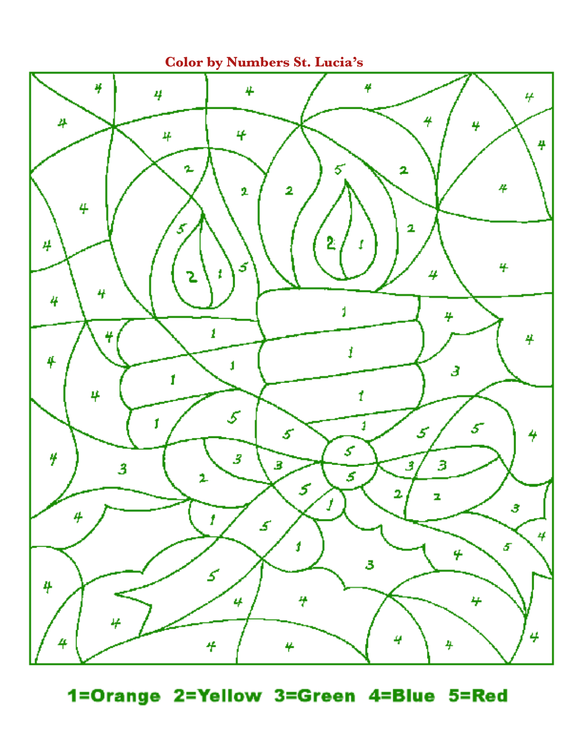**Color by Numbers St. Lucia's** 



1=Orange 2=Yellow 3=Green 4=Blue 5=Red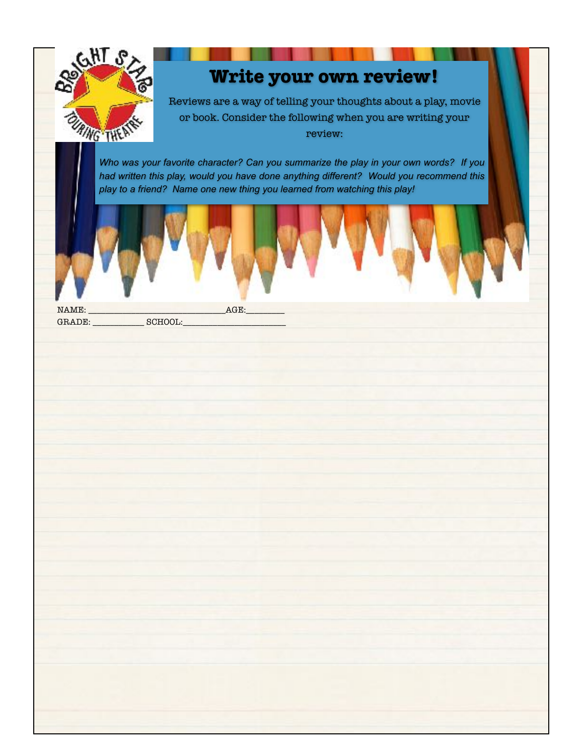

# **Write your own review!**

Reviews are a way of telling your thoughts about a play, movie or book. Consider the following when you are writing your review:

*Who was your favorite character? Can you summarize the play in your own words? If you had written this play, would you have done anything different? Would you recommend this play to a friend? Name one new thing you learned from watching this play!* 



GRADE: \_\_\_\_\_\_\_\_\_\_\_\_ SCHOOL:\_\_\_\_\_\_\_\_\_\_\_\_\_\_\_\_\_\_\_\_\_\_\_\_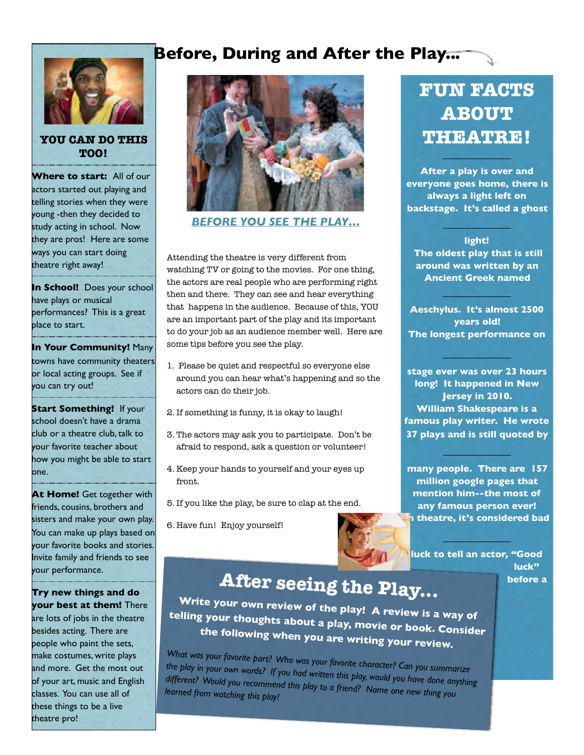### **Before, During and After the Play...**



**YOU CAN DO THIS TOO!** 

**Where to start:** All of our actors started out playing and telling stories when they were young -then they decided to study acting in school. Now they are pros! Here are some ways you can start doing theatre right away!

**In School!** Does your school have plays or musical performances? This is a great place to start.

**In Your Community!** Many towns have community theaters or local acting groups. See if you can try out!

**Start Something!** If your school doesn't have a drama club or a theatre club, talk to your favorite teacher about how you might be able to start one.

**At Home!** Get together with friends, cousins, brothers and sisters and make your own play. You can make up plays based on your favorite books and stories. Invite family and friends to see your performance.

**Try new things and do your best at them!** There are lots of jobs in the theatre besides acting. There are people who paint the sets, make costumes, write plays and more. Get the most out of your art, music and English classes. You can use all of these things to be a live theatre pro!



#### *BEFORE YOU SEE THE PLAY…*

Attending the theatre is very different from watching TV or going to the movies. For one thing, the actors are real people who are performing right then and there. They can see and hear everything that happens in the audience. Because of this, YOU are an important part of the play and its important to do your job as an audience member well. Here are some tips before you see the play.

- 1. Please be quiet and respectful so everyone else around you can hear what's happening and so the actors can do their job.
- 2. If something is funny, it is okay to laugh!
- 3. The actors may ask you to participate. Don't be afraid to respond, ask a question or volunteer!
- 4. Keep your hands to yourself and your eyes up front.
- 5. If you like the play, be sure to clap at the end.

6. Have fun! Enjoy yourself!



#### **luck to tell an actor, "Good luck"**

**before a** 

# **After seeing the Play...**

**Write your own review of the play! A review is a way of telling your thoughts about a play, movie or book. Consider the following when you are writing your review.**

*What was your favorite part? Who was your favorite character? Can you summarize the play in your own words? If you had written this play, would you have done anything different? Would you recommend this play to a friend? Name one new thing you learned from watching this play!* 

# **FUN FACTS ABOUT THEATRE!**

**After a play is over and everyone goes home, there is always a light left on backstage. It's called a ghost** 

**light! The oldest play that is still around was written by an Ancient Greek named** 

**Aeschylus. It's almost 2500 years old! The longest performance on** 

**stage ever was over 23 hours long! It happened in New Jersey in 2010. William Shakespeare is a famous play writer. He wrote 37 plays and is still quoted by** 

**many people. There are 157 million google pages that mention him--the most of any famous person ever! In theatre, it's considered bad**